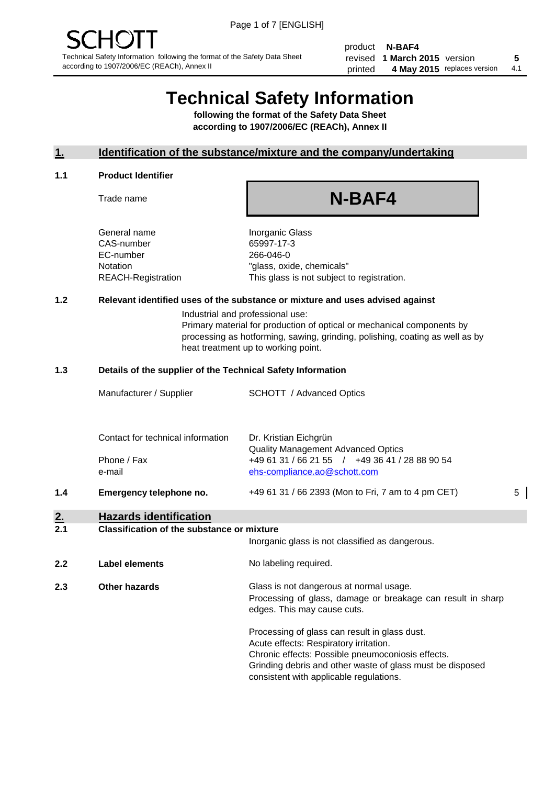product **N-BAF4** revised **5 1 March 2015** version printed 4 May 2015 replaces version 4.1

# **Technical Safety Information**

**following the format of the Safety Data Sheet according to 1907/2006/EC (REACh), Annex II**

#### **1. Identification of the substance/mixture and the company/undertaking**

#### **1.1 Product Identifier**

Trade name

## **N-BAF4**

General name **Inorganic Glass** CAS-number 65997-17-3 EC-number 266-046-0

Notation "glass, oxide, chemicals" REACH-Registration This glass is not subject to registration.

#### **1.2 Relevant identified uses of the substance or mixture and uses advised against**

Industrial and professional use: Primary material for production of optical or mechanical components by processing as hotforming, sawing, grinding, polishing, coating as well as by heat treatment up to working point.

#### **1.3 Details of the supplier of the Technical Safety Information**

|     | Manufacturer / Supplier           | <b>SCHOTT</b> / Advanced Optics                             |   |
|-----|-----------------------------------|-------------------------------------------------------------|---|
|     |                                   |                                                             |   |
|     | Contact for technical information | Dr. Kristian Eichgrün<br>Quality Management Advanced Optics |   |
|     | Phone / Fax                       | +49 61 31 / 66 21 55 / +49 36 41 / 28 88 90 54              |   |
|     | e-mail                            | ehs-compliance.ao@schott.com                                |   |
| 1.4 | Emergency telephone no.           | +49 61 31 / 66 2393 (Mon to Fri, 7 am to 4 pm CET)          | 5 |

### **2. Hazards identification**

#### **2.1 Classification of the substance or mixture**

|     |                | Inorganic glass is not classified as dangerous.                                                                                                                                                                                                      |
|-----|----------------|------------------------------------------------------------------------------------------------------------------------------------------------------------------------------------------------------------------------------------------------------|
| 2.2 | Label elements | No labeling required.                                                                                                                                                                                                                                |
| 2.3 | Other hazards  | Glass is not dangerous at normal usage.<br>Processing of glass, damage or breakage can result in sharp<br>edges. This may cause cuts.                                                                                                                |
|     |                | Processing of glass can result in glass dust.<br>Acute effects: Respiratory irritation.<br>Chronic effects: Possible pneumoconiosis effects.<br>Grinding debris and other waste of glass must be disposed<br>consistent with applicable regulations. |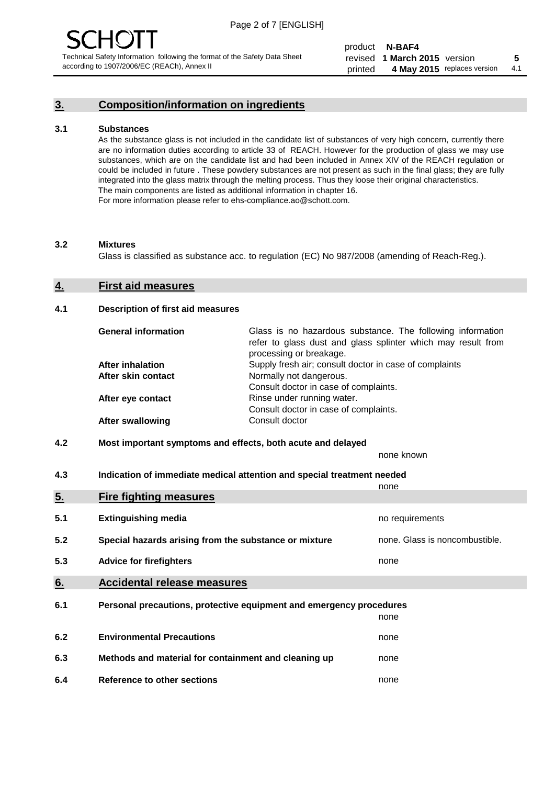#### **3. Composition/information on ingredients**

#### **3.1 Substances**

As the substance glass is not included in the candidate list of substances of very high concern, currently there are no information duties according to article 33 of REACH. However for the production of glass we may use substances, which are on the candidate list and had been included in Annex XIV of the REACH regulation or could be included in future . These powdery substances are not present as such in the final glass; they are fully integrated into the glass matrix through the melting process. Thus they loose their original characteristics. The main components are listed as additional information in chapter 16. For more information please refer to ehs-compliance.ao@schott.com.

#### **3.2 Mixtures**

Glass is classified as substance acc. to regulation (EC) No 987/2008 (amending of Reach-Reg.).

#### **4. First aid measures**

#### **4.1 Description of first aid measures**

| <b>General information</b> | Glass is no hazardous substance. The following information<br>refer to glass dust and glass splinter which may result from<br>processing or breakage. |
|----------------------------|-------------------------------------------------------------------------------------------------------------------------------------------------------|
| After inhalation           | Supply fresh air; consult doctor in case of complaints                                                                                                |
| After skin contact         | Normally not dangerous.                                                                                                                               |
|                            | Consult doctor in case of complaints.                                                                                                                 |
| After eye contact          | Rinse under running water.                                                                                                                            |
|                            | Consult doctor in case of complaints.                                                                                                                 |
| <b>After swallowing</b>    | Consult doctor                                                                                                                                        |

#### **4.2 Most important symptoms and effects, both acute and delayed**

none known

**4.3 Indication of immediate medical attention and special treatment needed** 

|     |                                                                     | none                           |
|-----|---------------------------------------------------------------------|--------------------------------|
| 5.  | <b>Fire fighting measures</b>                                       |                                |
| 5.1 | <b>Extinguishing media</b>                                          | no requirements                |
| 5.2 | Special hazards arising from the substance or mixture               | none. Glass is noncombustible. |
| 5.3 | <b>Advice for firefighters</b>                                      | none                           |
| 6.  | <b>Accidental release measures</b>                                  |                                |
| 6.1 | Personal precautions, protective equipment and emergency procedures |                                |
|     |                                                                     | none                           |
| 6.2 | <b>Environmental Precautions</b>                                    | none                           |
| 6.3 | Methods and material for containment and cleaning up                | none                           |
| 6.4 | Reference to other sections                                         | none                           |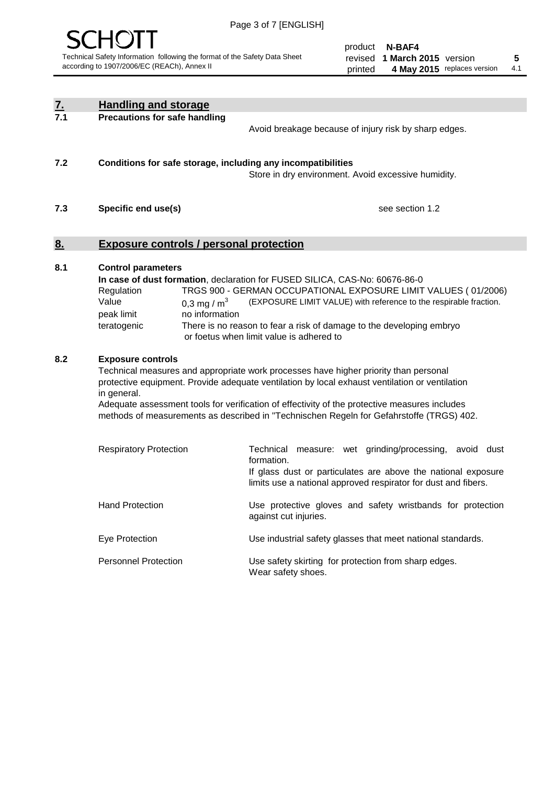

product **N-BAF4** revised **5 1 March 2015** version printed 4 May 2015 replaces version 4.1

| <u>z.</u>        | <b>Handling and storage</b>                                                                                                                                                                                                                                                                                                                                                                                                    |                                                                                                                                                                                                                                                                                                                                        |
|------------------|--------------------------------------------------------------------------------------------------------------------------------------------------------------------------------------------------------------------------------------------------------------------------------------------------------------------------------------------------------------------------------------------------------------------------------|----------------------------------------------------------------------------------------------------------------------------------------------------------------------------------------------------------------------------------------------------------------------------------------------------------------------------------------|
| $\overline{7.1}$ | Precautions for safe handling                                                                                                                                                                                                                                                                                                                                                                                                  | Avoid breakage because of injury risk by sharp edges.                                                                                                                                                                                                                                                                                  |
| 7.2              | Conditions for safe storage, including any incompatibilities                                                                                                                                                                                                                                                                                                                                                                   | Store in dry environment. Avoid excessive humidity.                                                                                                                                                                                                                                                                                    |
| 7.3              | Specific end use(s)                                                                                                                                                                                                                                                                                                                                                                                                            | see section 1.2                                                                                                                                                                                                                                                                                                                        |
| <u>8.</u>        | <b>Exposure controls / personal protection</b>                                                                                                                                                                                                                                                                                                                                                                                 |                                                                                                                                                                                                                                                                                                                                        |
| 8.1              | <b>Control parameters</b><br>Regulation<br>Value<br>0,3 mg / $m3$<br>no information<br>peak limit<br>teratogenic                                                                                                                                                                                                                                                                                                               | In case of dust formation, declaration for FUSED SILICA, CAS-No: 60676-86-0<br>TRGS 900 - GERMAN OCCUPATIONAL EXPOSURE LIMIT VALUES (01/2006)<br>(EXPOSURE LIMIT VALUE) with reference to the respirable fraction.<br>There is no reason to fear a risk of damage to the developing embryo<br>or foetus when limit value is adhered to |
| 8.2              | <b>Exposure controls</b><br>Technical measures and appropriate work processes have higher priority than personal<br>protective equipment. Provide adequate ventilation by local exhaust ventilation or ventilation<br>in general.<br>Adequate assessment tools for verification of effectivity of the protective measures includes<br>methods of measurements as described in "Technischen Regeln for Gefahrstoffe (TRGS) 402. |                                                                                                                                                                                                                                                                                                                                        |
|                  | <b>Respiratory Protection</b>                                                                                                                                                                                                                                                                                                                                                                                                  | Technical measure: wet grinding/processing, avoid dust<br>formation.<br>If glass dust or particulates are above the national exposure<br>limits use a national approved respirator for dust and fibers.                                                                                                                                |
|                  | <b>Hand Protection</b>                                                                                                                                                                                                                                                                                                                                                                                                         | Use protective gloves and safety wristbands for protection<br>against cut injuries.                                                                                                                                                                                                                                                    |
|                  | Eye Protection                                                                                                                                                                                                                                                                                                                                                                                                                 | Use industrial safety glasses that meet national standards.                                                                                                                                                                                                                                                                            |
|                  | <b>Personnel Protection</b>                                                                                                                                                                                                                                                                                                                                                                                                    | Use safety skirting for protection from sharp edges.<br>Wear safety shoes.                                                                                                                                                                                                                                                             |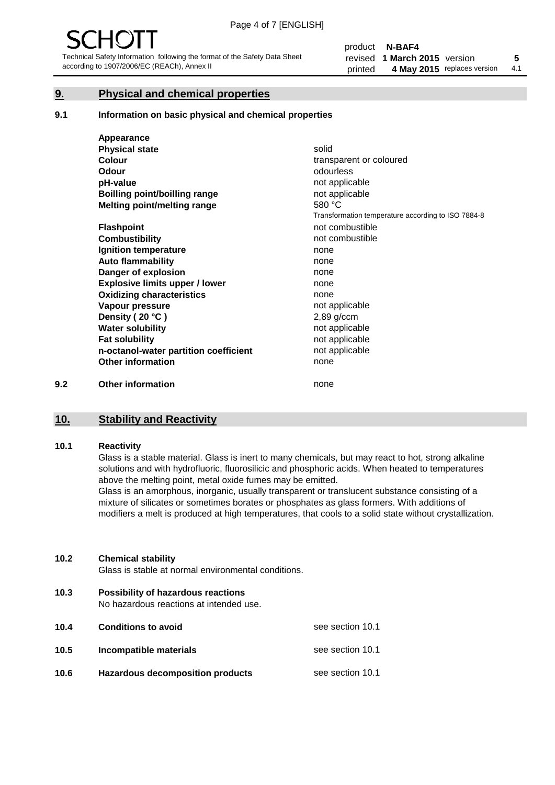#### **9. Physical and chemical properties**

#### **9.1 Information on basic physical and chemical properties**

|     | Appearance                            |                                                    |
|-----|---------------------------------------|----------------------------------------------------|
|     | <b>Physical state</b>                 | solid                                              |
|     | <b>Colour</b>                         | transparent or coloured                            |
|     | <b>Odour</b>                          | odourless                                          |
|     | pH-value                              | not applicable                                     |
|     | Boilling point/boilling range         | not applicable                                     |
|     | Melting point/melting range           | 580 °C                                             |
|     |                                       | Transformation temperature according to ISO 7884-8 |
|     | <b>Flashpoint</b>                     | not combustible                                    |
|     | <b>Combustibility</b>                 | not combustible                                    |
|     | Ignition temperature                  | none                                               |
|     | <b>Auto flammability</b>              | none                                               |
|     | Danger of explosion                   | none                                               |
|     | <b>Explosive limits upper / lower</b> | none                                               |
|     | <b>Oxidizing characteristics</b>      | none                                               |
|     | Vapour pressure                       | not applicable                                     |
|     | Density (20 °C)                       | $2,89$ g/ccm                                       |
|     | <b>Water solubility</b>               | not applicable                                     |
|     | <b>Fat solubility</b>                 | not applicable                                     |
|     | n-octanol-water partition coefficient | not applicable                                     |
|     | <b>Other information</b>              | none                                               |
| 9.2 | <b>Other information</b>              | none                                               |

## **10. Stability and Reactivity**

#### **10.1 Reactivity**

Glass is a stable material. Glass is inert to many chemicals, but may react to hot, strong alkaline solutions and with hydrofluoric, fluorosilicic and phosphoric acids. When heated to temperatures above the melting point, metal oxide fumes may be emitted.

Glass is an amorphous, inorganic, usually transparent or translucent substance consisting of a mixture of silicates or sometimes borates or phosphates as glass formers. With additions of modifiers a melt is produced at high temperatures, that cools to a solid state without crystallization.

#### **10.2 Chemical stability**

Glass is stable at normal environmental conditions.

**10.3 Possibility of hazardous reactions** 

No hazardous reactions at intended use.

| 10.4 | <b>Conditions to avoid</b>       | see section 10.1 |
|------|----------------------------------|------------------|
| 10.5 | Incompatible materials           | see section 10.1 |
| 10.6 | Hazardous decomposition products | see section 10.1 |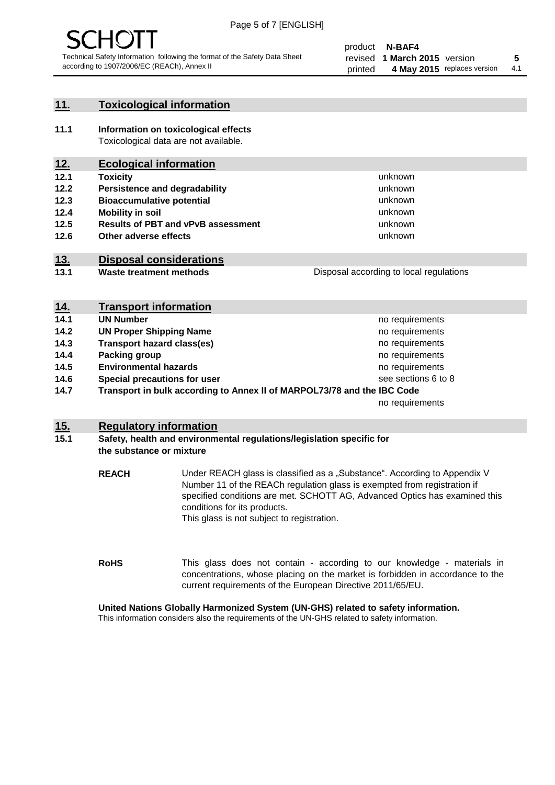

#### **11. Toxicological information**

**11.1 Information on toxicological effects** Toxicological data are not available.

#### **12. Ecological information**

- **12.1 Toxicity**
- **12.2 Persistence and degradability**
- **12.3 Bioaccumulative potential**
- **12.4 Mobility in soil**
- **12.5 Results of PBT and vPvB assessment**
- **12.6 Other adverse effects**

#### **13. Disposal considerations**

**13.1 Waste treatment methods**

| Disposal according to local regulations |
|-----------------------------------------|
|                                         |

unknown unknown unknown unknown

unknown unknown

| <u>14.</u> | <b>Transport information</b>                                            |                     |
|------------|-------------------------------------------------------------------------|---------------------|
| 14.1       | <b>UN Number</b>                                                        | no requirements     |
| 14.2       | <b>UN Proper Shipping Name</b>                                          | no requirements     |
| 14.3       | <b>Transport hazard class(es)</b>                                       | no requirements     |
| 14.4       | Packing group                                                           | no requirements     |
| 14.5       | <b>Environmental hazards</b>                                            | no requirements     |
| 14.6       | Special precautions for user                                            | see sections 6 to 8 |
| 14.7       | Transport in bulk according to Annex II of MARPOL73/78 and the IBC Code |                     |
|            |                                                                         | no requirements     |

#### **15. Regulatory information**

#### **15.1 Safety, health and environmental regulations/legislation specific for the substance or mixture**

**REACH** Under REACH glass is classified as a "Substance". According to Appendix V Number 11 of the REACh regulation glass is exempted from registration if specified conditions are met. SCHOTT AG, Advanced Optics has examined this conditions for its products. This glass is not subject to registration.

**RoHS** This glass does not contain - according to our knowledge - materials in concentrations, whose placing on the market is forbidden in accordance to the current requirements of the European Directive 2011/65/EU.

#### **United Nations Globally Harmonized System (UN-GHS) related to safety information.**

This information considers also the requirements of the UN-GHS related to safety information.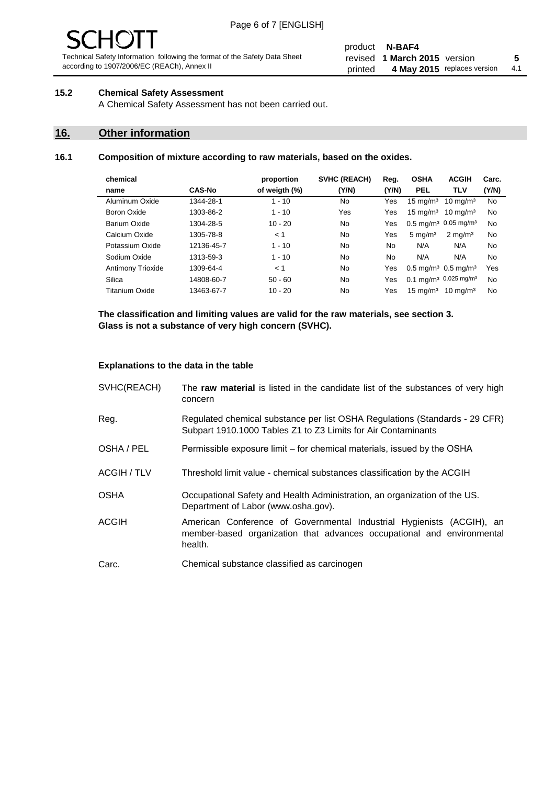# - JF

Technical Safety Information following the format of the Safety Data Sheet according to 1907/2006/EC (REACh), Annex II

#### product **N-BAF4** revised **5 1 March 2015** version printed 4 May 2015 replaces version 4.1

#### **15.2 Chemical Safety Assessment**

A Chemical Safety Assessment has not been carried out.

#### **16. Other information**

#### **16.1 Composition of mixture according to raw materials, based on the oxides.**

| chemical          |               | proportion    | <b>SVHC (REACH)</b> | Reg.  | <b>OSHA</b>                                   | <b>ACGIH</b>                                 | Carc. |
|-------------------|---------------|---------------|---------------------|-------|-----------------------------------------------|----------------------------------------------|-------|
| name              | <b>CAS-No</b> | of weigth (%) | (Y/N)               | (Y/N) | <b>PEL</b>                                    | <b>TLV</b>                                   | (Y/N) |
| Aluminum Oxide    | 1344-28-1     | $1 - 10$      | No                  | Yes   | $15 \text{ mg/m}^3$                           | $10 \text{ mg/m}^3$                          | No    |
| Boron Oxide       | 1303-86-2     | $1 - 10$      | Yes                 | Yes   | $15 \text{ mg/m}^3$                           | $10 \text{ ma/m}^3$                          | No    |
| Barium Oxide      | 1304-28-5     | $10 - 20$     | No.                 | Yes   |                                               | $0.5 \text{ mg/m}^3$ 0.05 mg/m <sup>3</sup>  | No    |
| Calcium Oxide     | 1305-78-8     | < 1           | No                  | Yes   | $5 \text{ mg/m}^3$                            | $2 \text{ mg/m}^3$                           | No    |
| Potassium Oxide   | 12136-45-7    | $1 - 10$      | No                  | No.   | N/A                                           | N/A                                          | No    |
| Sodium Oxide      | 1313-59-3     | $1 - 10$      | No.                 | No.   | N/A                                           | N/A                                          | No    |
| Antimony Trioxide | 1309-64-4     | < 1           | No                  | Yes   | $0.5 \,\mathrm{mq/m^3}$ 0.5 mg/m <sup>3</sup> |                                              | Yes   |
| Silica            | 14808-60-7    | $50 - 60$     | No.                 | Yes   |                                               | $0.1 \text{ mg/m}^3$ 0.025 mg/m <sup>3</sup> | No    |
| Titanium Oxide    | 13463-67-7    | $10 - 20$     | No                  | Yes   | $15 \text{ mg/m}^3$                           | $10 \text{ mg/m}^3$                          | No    |

**The classification and limiting values are valid for the raw materials, see section 3. Glass is not a substance of very high concern (SVHC).**

#### **Explanations to the data in the table**

| SVHC(REACH)        | The raw material is listed in the candidate list of the substances of very high<br>concern                                                                 |
|--------------------|------------------------------------------------------------------------------------------------------------------------------------------------------------|
| Reg.               | Regulated chemical substance per list OSHA Regulations (Standards - 29 CFR)<br>Subpart 1910.1000 Tables Z1 to Z3 Limits for Air Contaminants               |
| OSHA / PEL         | Permissible exposure limit – for chemical materials, issued by the OSHA                                                                                    |
| <b>ACGIH / TLV</b> | Threshold limit value - chemical substances classification by the ACGIH                                                                                    |
| <b>OSHA</b>        | Occupational Safety and Health Administration, an organization of the US.<br>Department of Labor (www.osha.gov).                                           |
| ACGIH              | American Conference of Governmental Industrial Hygienists (ACGIH), an<br>member-based organization that advances occupational and environmental<br>health. |
| Carc.              | Chemical substance classified as carcinogen                                                                                                                |